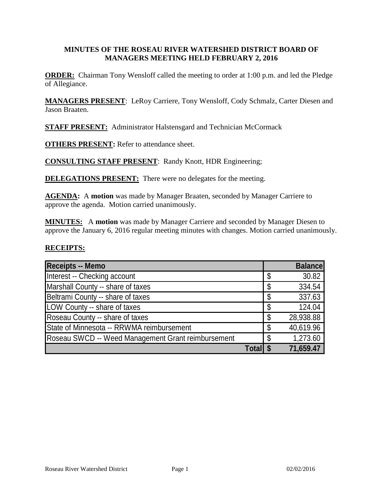#### **MINUTES OF THE ROSEAU RIVER WATERSHED DISTRICT BOARD OF MANAGERS MEETING HELD FEBRUARY 2, 2016**

**ORDER:** Chairman Tony Wensloff called the meeting to order at 1:00 p.m. and led the Pledge of Allegiance.

**MANAGERS PRESENT**: LeRoy Carriere, Tony Wensloff, Cody Schmalz, Carter Diesen and Jason Braaten.

**STAFF PRESENT:** Administrator Halstensgard and Technician McCormack

**OTHERS PRESENT:** Refer to attendance sheet.

**CONSULTING STAFF PRESENT**: Randy Knott, HDR Engineering;

**DELEGATIONS PRESENT:** There were no delegates for the meeting.

**AGENDA:** A **motion** was made by Manager Braaten, seconded by Manager Carriere to approve the agenda. Motion carried unanimously.

**MINUTES:** A **motion** was made by Manager Carriere and seconded by Manager Diesen to approve the January 6, 2016 regular meeting minutes with changes. Motion carried unanimously.

#### **RECEIPTS:**

| Receipts -- Memo                                   |        | <b>Balance</b>  |
|----------------------------------------------------|--------|-----------------|
| Interest -- Checking account                       |        | \$<br>30.82     |
| Marshall County -- share of taxes                  |        | 334.54          |
| Beltrami County -- share of taxes                  |        | 337.63          |
| LOW County -- share of taxes                       |        | \$<br>124.04    |
| Roseau County -- share of taxes                    |        | \$<br>28,938.88 |
| State of Minnesota -- RRWMA reimbursement          |        | \$<br>40,619.96 |
| Roseau SWCD -- Weed Management Grant reimbursement |        | \$<br>1,273.60  |
|                                                    | Totall | 71,659.47       |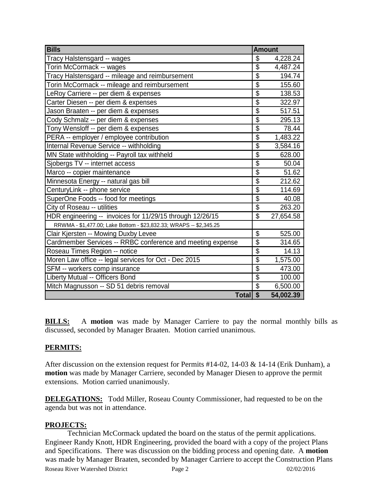| <b>Bills</b>                                                       | <b>Amount</b>            |           |
|--------------------------------------------------------------------|--------------------------|-----------|
| Tracy Halstensgard -- wages                                        | \$                       | 4,228.24  |
| Torin McCormack -- wages                                           | $\overline{\$}$          | 4,487.24  |
| Tracy Halstensgard -- mileage and reimbursement                    | $\overline{\$}$          | 194.74    |
| Torin McCormack -- mileage and reimbursement                       | $\overline{\$}$          | 155.60    |
| LeRoy Carriere -- per diem & expenses                              | $\overline{\$}$          | 138.53    |
| Carter Diesen -- per diem & expenses                               | $\overline{\$}$          | 322.97    |
| Jason Braaten -- per diem & expenses                               | $\overline{\$}$          | 517.51    |
| Cody Schmalz -- per diem & expenses                                | $\overline{\$}$          | 295.13    |
| Tony Wensloff -- per diem & expenses                               | $\overline{\$}$          | 78.44     |
| PERA -- employer / employee contribution                           | \$                       | 1,483.22  |
| Internal Revenue Service -- withholding                            | $\overline{\$}$          | 3,584.16  |
| MN State withholding -- Payroll tax withheld                       | \$                       | 628.00    |
| Sjobergs TV -- internet access                                     | $\overline{\$}$          | 50.04     |
| Marco -- copier maintenance                                        | \$                       | 51.62     |
| Minnesota Energy -- natural gas bill                               | $\overline{\$}$          | 212.62    |
| CenturyLink -- phone service                                       | $\overline{\$}$          | 114.69    |
| SuperOne Foods -- food for meetings                                | $\overline{\$}$          | 40.08     |
| City of Roseau -- utilities                                        | $\overline{\$}$          | 263.20    |
| HDR engineering -- invoices for 11/29/15 through 12/26/15          | \$                       | 27,654.58 |
| RRWMA - \$1,477.00; Lake Bottom - \$23,832.33; WRAPS -- \$2,345.25 |                          |           |
| Clair Kjersten -- Mowing Duxby Levee                               | \$                       | 525.00    |
| Cardmember Services -- RRBC conference and meeting expense         | \$                       | 314.65    |
| Roseau Times Region -- notice                                      | \$                       | 14.13     |
| Moren Law office -- legal services for Oct - Dec 2015              | $\overline{\$}$          | 1,575.00  |
| SFM -- workers comp insurance                                      | $\overline{\mathcal{S}}$ | 473.00    |
| Liberty Mutual -- Officers Bond                                    | $\overline{\$}$          | 100.00    |
| Mitch Magnusson -- SD 51 debris removal                            | $\overline{\mathbb{S}}$  | 6,500.00  |
| Total \$                                                           |                          | 54,002.39 |

**BILLS:** A **motion** was made by Manager Carriere to pay the normal monthly bills as discussed, seconded by Manager Braaten. Motion carried unanimous.

## **PERMITS:**

After discussion on the extension request for Permits #14-02, 14-03 & 14-14 (Erik Dunham), a **motion** was made by Manager Carriere, seconded by Manager Diesen to approve the permit extensions. Motion carried unanimously.

**DELEGATIONS:** Todd Miller, Roseau County Commissioner, had requested to be on the agenda but was not in attendance.

## **PROJECTS:**

Technician McCormack updated the board on the status of the permit applications. Engineer Randy Knott, HDR Engineering, provided the board with a copy of the project Plans and Specifications. There was discussion on the bidding process and opening date. A **motion** was made by Manager Braaten, seconded by Manager Carriere to accept the Construction Plans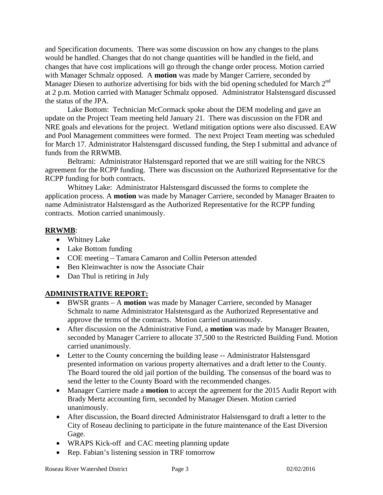and Specification documents. There was some discussion on how any changes to the plans would be handled. Changes that do not change quantities will be handled in the field, and changes that have cost implications will go through the change order process. Motion carried with Manager Schmalz opposed. A **motion** was made by Manger Carriere, seconded by Manager Diesen to authorize advertising for bids with the bid opening scheduled for March  $2<sup>nd</sup>$ at 2 p.m. Motion carried with Manager Schmalz opposed. Administrator Halstensgard discussed the status of the JPA.

Lake Bottom: Technician McCormack spoke about the DEM modeling and gave an update on the Project Team meeting held January 21. There was discussion on the FDR and NRE goals and elevations for the project. Wetland mitigation options were also discussed. EAW and Pool Management committees were formed. The next Project Team meeting was scheduled for March 17. Administrator Halstensgard discussed funding, the Step I submittal and advance of funds from the RRWMB.

Beltrami: Administrator Halstensgard reported that we are still waiting for the NRCS agreement for the RCPP funding. There was discussion on the Authorized Representative for the RCPP funding for both contracts.

Whitney Lake: Administrator Halstensgard discussed the forms to complete the application process. A **motion** was made by Manager Carriere, seconded by Manager Braaten to name Administrator Halstensgard as the Authorized Representative for the RCPP funding contracts. Motion carried unanimously.

## **RRWMB**:

- Whitney Lake
- Lake Bottom funding
- COE meeting Tamara Camaron and Collin Peterson attended
- Ben Kleinwachter is now the Associate Chair
- Dan Thul is retiring in July

## **ADMINISTRATIVE REPORT:**

- BWSR grants A **motion** was made by Manager Carriere, seconded by Manager Schmalz to name Administrator Halstensgard as the Authorized Representative and approve the terms of the contracts. Motion carried unanimously.
- After discussion on the Administrative Fund, a **motion** was made by Manager Braaten, seconded by Manager Carriere to allocate 37,500 to the Restricted Building Fund. Motion carried unanimously.
- Letter to the County concerning the building lease -- Administrator Halstensgard presented information on various property alternatives and a draft letter to the County. The Board toured the old jail portion of the building. The consensus of the board was to send the letter to the County Board with the recommended changes.
- Manager Carriere made a **motion** to accept the agreement for the 2015 Audit Report with Brady Mertz accounting firm, seconded by Manager Diesen. Motion carried unanimously.
- After discussion, the Board directed Administrator Halstensgard to draft a letter to the City of Roseau declining to participate in the future maintenance of the East Diversion Gage.
- WRAPS Kick-off and CAC meeting planning update
- Rep. Fabian's listening session in TRF tomorrow